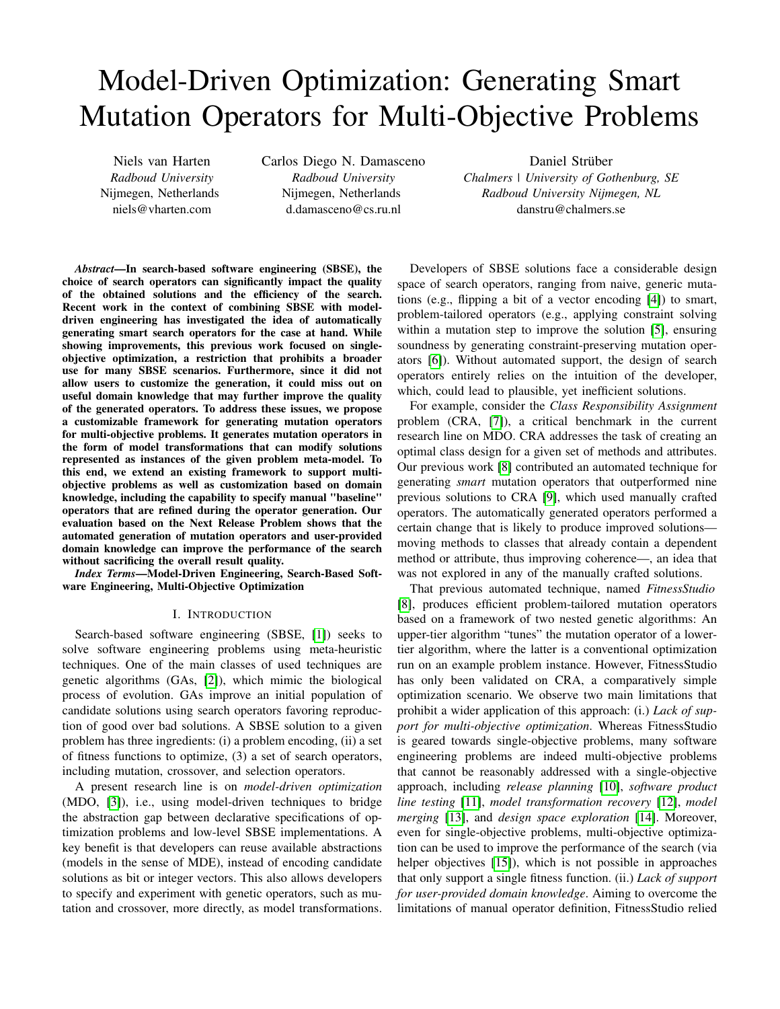# Model-Driven Optimization: Generating Smart Mutation Operators for Multi-Objective Problems

Niels van Harten *Radboud University* Nijmegen, Netherlands niels@vharten.com

Carlos Diego N. Damasceno *Radboud University* Nijmegen, Netherlands d.damasceno@cs.ru.nl

Daniel Strüber *Chalmers | University of Gothenburg, SE Radboud University Nijmegen, NL* danstru@chalmers.se

*Abstract*—In search-based software engineering (SBSE), the choice of search operators can significantly impact the quality of the obtained solutions and the efficiency of the search. Recent work in the context of combining SBSE with modeldriven engineering has investigated the idea of automatically generating smart search operators for the case at hand. While showing improvements, this previous work focused on singleobjective optimization, a restriction that prohibits a broader use for many SBSE scenarios. Furthermore, since it did not allow users to customize the generation, it could miss out on useful domain knowledge that may further improve the quality of the generated operators. To address these issues, we propose a customizable framework for generating mutation operators for multi-objective problems. It generates mutation operators in the form of model transformations that can modify solutions represented as instances of the given problem meta-model. To this end, we extend an existing framework to support multiobjective problems as well as customization based on domain knowledge, including the capability to specify manual "baseline" operators that are refined during the operator generation. Our evaluation based on the Next Release Problem shows that the automated generation of mutation operators and user-provided domain knowledge can improve the performance of the search without sacrificing the overall result quality.

*Index Terms*—Model-Driven Engineering, Search-Based Software Engineering, Multi-Objective Optimization

#### I. INTRODUCTION

Search-based software engineering (SBSE, [\[1\]](#page-7-0)) seeks to solve software engineering problems using meta-heuristic techniques. One of the main classes of used techniques are genetic algorithms (GAs, [\[2\]](#page-7-1)), which mimic the biological process of evolution. GAs improve an initial population of candidate solutions using search operators favoring reproduction of good over bad solutions. A SBSE solution to a given problem has three ingredients: (i) a problem encoding, (ii) a set of fitness functions to optimize, (3) a set of search operators, including mutation, crossover, and selection operators.

A present research line is on *model-driven optimization* (MDO, [\[3\]](#page-7-2)), i.e., using model-driven techniques to bridge the abstraction gap between declarative specifications of optimization problems and low-level SBSE implementations. A key benefit is that developers can reuse available abstractions (models in the sense of MDE), instead of encoding candidate solutions as bit or integer vectors. This also allows developers to specify and experiment with genetic operators, such as mutation and crossover, more directly, as model transformations.

Developers of SBSE solutions face a considerable design space of search operators, ranging from naive, generic mutations (e.g., flipping a bit of a vector encoding [\[4\]](#page-7-3)) to smart, problem-tailored operators (e.g., applying constraint solving within a mutation step to improve the solution [\[5\]](#page-7-4), ensuring soundness by generating constraint-preserving mutation operators [\[6\]](#page-7-5)). Without automated support, the design of search operators entirely relies on the intuition of the developer, which, could lead to plausible, yet inefficient solutions.

For example, consider the *Class Responsibility Assignment* problem (CRA, [\[7\]](#page-7-6)), a critical benchmark in the current research line on MDO. CRA addresses the task of creating an optimal class design for a given set of methods and attributes. Our previous work [\[8\]](#page-7-7) contributed an automated technique for generating *smart* mutation operators that outperformed nine previous solutions to CRA [\[9\]](#page-7-8), which used manually crafted operators. The automatically generated operators performed a certain change that is likely to produce improved solutions moving methods to classes that already contain a dependent method or attribute, thus improving coherence—, an idea that was not explored in any of the manually crafted solutions.

That previous automated technique, named *FitnessStudio* [\[8\]](#page-7-7), produces efficient problem-tailored mutation operators based on a framework of two nested genetic algorithms: An upper-tier algorithm "tunes" the mutation operator of a lowertier algorithm, where the latter is a conventional optimization run on an example problem instance. However, FitnessStudio has only been validated on CRA, a comparatively simple optimization scenario. We observe two main limitations that prohibit a wider application of this approach: (i.) *Lack of support for multi-objective optimization*. Whereas FitnessStudio is geared towards single-objective problems, many software engineering problems are indeed multi-objective problems that cannot be reasonably addressed with a single-objective approach, including *release planning* [\[10\]](#page-7-9), *software product line testing* [\[11\]](#page-7-10), *model transformation recovery* [\[12\]](#page-7-11), *model merging* [\[13\]](#page-7-12), and *design space exploration* [\[14\]](#page-7-13). Moreover, even for single-objective problems, multi-objective optimization can be used to improve the performance of the search (via helper objectives [\[15\]](#page-7-14)), which is not possible in approaches that only support a single fitness function. (ii.) *Lack of support for user-provided domain knowledge*. Aiming to overcome the limitations of manual operator definition, FitnessStudio relied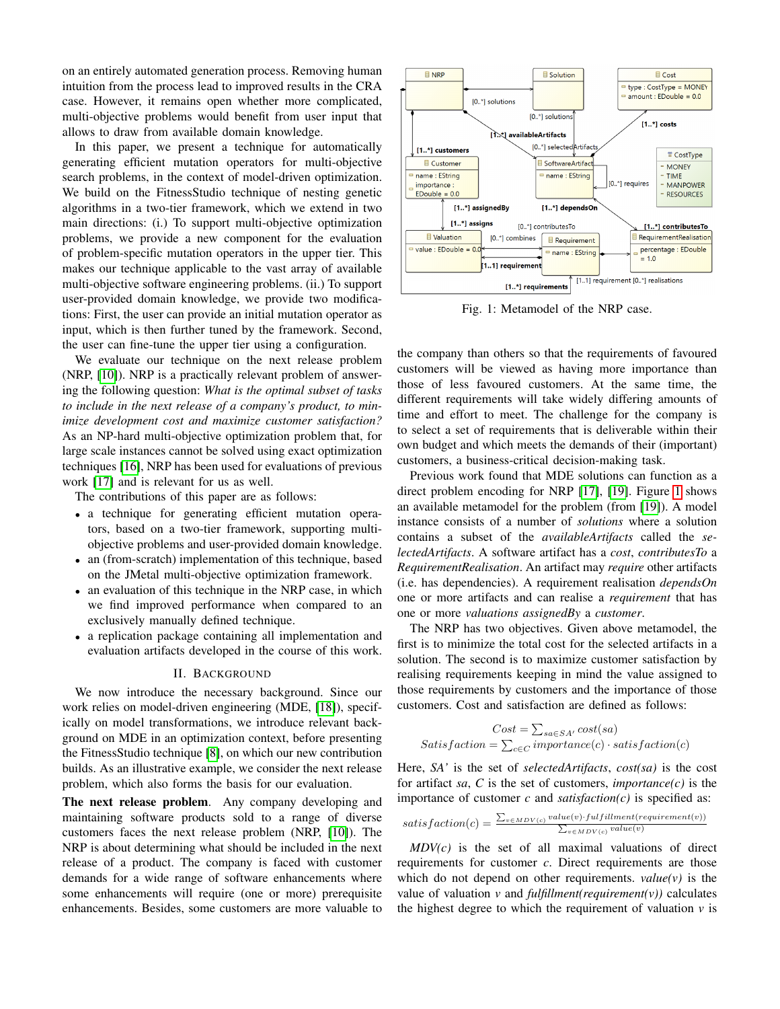on an entirely automated generation process. Removing human intuition from the process lead to improved results in the CRA case. However, it remains open whether more complicated, multi-objective problems would benefit from user input that allows to draw from available domain knowledge.

In this paper, we present a technique for automatically generating efficient mutation operators for multi-objective search problems, in the context of model-driven optimization. We build on the FitnessStudio technique of nesting genetic algorithms in a two-tier framework, which we extend in two main directions: (i.) To support multi-objective optimization problems, we provide a new component for the evaluation of problem-specific mutation operators in the upper tier. This makes our technique applicable to the vast array of available multi-objective software engineering problems. (ii.) To support user-provided domain knowledge, we provide two modifications: First, the user can provide an initial mutation operator as input, which is then further tuned by the framework. Second, the user can fine-tune the upper tier using a configuration.

We evaluate our technique on the next release problem (NRP, [\[10\]](#page-7-9)). NRP is a practically relevant problem of answering the following question: *What is the optimal subset of tasks to include in the next release of a company's product, to minimize development cost and maximize customer satisfaction?* As an NP-hard multi-objective optimization problem that, for large scale instances cannot be solved using exact optimization techniques [\[16\]](#page-7-15), NRP has been used for evaluations of previous work [\[17\]](#page-7-16) and is relevant for us as well.

The contributions of this paper are as follows:

- a technique for generating efficient mutation operators, based on a two-tier framework, supporting multiobjective problems and user-provided domain knowledge.
- an (from-scratch) implementation of this technique, based on the JMetal multi-objective optimization framework.
- an evaluation of this technique in the NRP case, in which we find improved performance when compared to an exclusively manually defined technique.
- a replication package containing all implementation and evaluation artifacts developed in the course of this work.

# II. BACKGROUND

<span id="page-1-1"></span>We now introduce the necessary background. Since our work relies on model-driven engineering (MDE, [\[18\]](#page-7-17)), specifically on model transformations, we introduce relevant background on MDE in an optimization context, before presenting the FitnessStudio technique [\[8\]](#page-7-7), on which our new contribution builds. As an illustrative example, we consider the next release problem, which also forms the basis for our evaluation.

The next release problem. Any company developing and maintaining software products sold to a range of diverse customers faces the next release problem (NRP, [\[10\]](#page-7-9)). The NRP is about determining what should be included in the next release of a product. The company is faced with customer demands for a wide range of software enhancements where some enhancements will require (one or more) prerequisite enhancements. Besides, some customers are more valuable to

<span id="page-1-0"></span>

Fig. 1: Metamodel of the NRP case.

the company than others so that the requirements of favoured customers will be viewed as having more importance than those of less favoured customers. At the same time, the different requirements will take widely differing amounts of time and effort to meet. The challenge for the company is to select a set of requirements that is deliverable within their own budget and which meets the demands of their (important) customers, a business-critical decision-making task.

Previous work found that MDE solutions can function as a direct problem encoding for NRP [\[17\]](#page-7-16), [\[19\]](#page-7-18). Figure [1](#page-1-0) shows an available metamodel for the problem (from [\[19\]](#page-7-18)). A model instance consists of a number of *solutions* where a solution contains a subset of the *availableArtifacts* called the *selectedArtifacts*. A software artifact has a *cost*, *contributesTo* a *RequirementRealisation*. An artifact may *require* other artifacts (i.e. has dependencies). A requirement realisation *dependsOn* one or more artifacts and can realise a *requirement* that has one or more *valuations assignedBy* a *customer*.

The NRP has two objectives. Given above metamodel, the first is to minimize the total cost for the selected artifacts in a solution. The second is to maximize customer satisfaction by realising requirements keeping in mind the value assigned to those requirements by customers and the importance of those customers. Cost and satisfaction are defined as follows:

$$
Cost = \sum_{sa \in SA'} cost(sa)
$$
  
Satisfaction = 
$$
\sum_{c \in C} importance(c) \cdot satisfaction(c)
$$

Here, *SA'* is the set of *selectedArtifacts*, *cost(sa)* is the cost for artifact *sa*,  $C$  is the set of customers, *importance(c)* is the importance of customer  $c$  and *satisfaction(c)* is specified as:

satisf action(c) = 
$$
\frac{\sum_{v \in MDV(c)} value(v) \cdot fullfullment(requirement(v))}{\sum_{v \in MDV(c)} value(v)}
$$

*MDV(c)* is the set of all maximal valuations of direct requirements for customer *c*. Direct requirements are those which do not depend on other requirements. *value(v)* is the value of valuation *v* and *fulfillment(requirement(v))* calculates the highest degree to which the requirement of valuation  $\nu$  is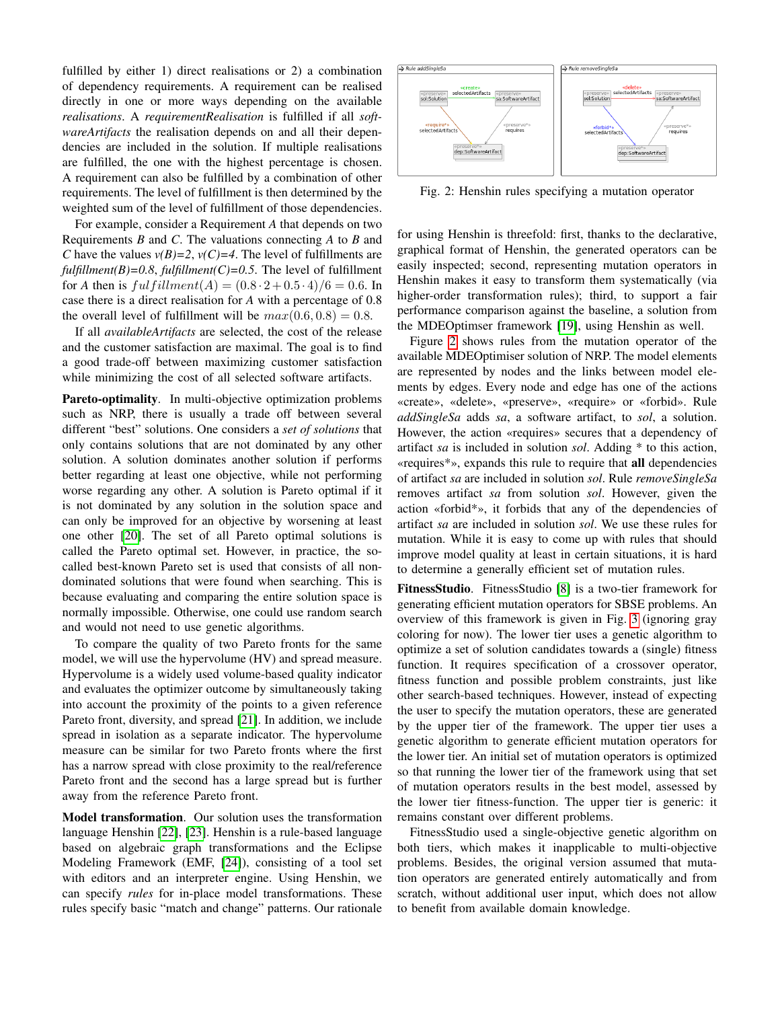fulfilled by either 1) direct realisations or 2) a combination of dependency requirements. A requirement can be realised directly in one or more ways depending on the available *realisations*. A *requirementRealisation* is fulfilled if all *softwareArtifacts* the realisation depends on and all their dependencies are included in the solution. If multiple realisations are fulfilled, the one with the highest percentage is chosen. A requirement can also be fulfilled by a combination of other requirements. The level of fulfillment is then determined by the weighted sum of the level of fulfillment of those dependencies.

For example, consider a Requirement *A* that depends on two Requirements *B* and *C*. The valuations connecting *A* to *B* and *C* have the values  $v(B)=2$ ,  $v(C)=4$ . The level of fulfillments are  $fulfillment(B)=0.8, fullfilment(C)=0.5$ . The level of fulfillment for *A* then is  $fulfillment(A) = (0.8 \cdot 2 + 0.5 \cdot 4)/6 = 0.6$ . In case there is a direct realisation for *A* with a percentage of 0.8 the overall level of fulfillment will be  $max(0.6, 0.8) = 0.8$ .

If all *availableArtifacts* are selected, the cost of the release and the customer satisfaction are maximal. The goal is to find a good trade-off between maximizing customer satisfaction while minimizing the cost of all selected software artifacts.

Pareto-optimality. In multi-objective optimization problems such as NRP, there is usually a trade off between several different "best" solutions. One considers a *set of solutions* that only contains solutions that are not dominated by any other solution. A solution dominates another solution if performs better regarding at least one objective, while not performing worse regarding any other. A solution is Pareto optimal if it is not dominated by any solution in the solution space and can only be improved for an objective by worsening at least one other [\[20\]](#page-7-19). The set of all Pareto optimal solutions is called the Pareto optimal set. However, in practice, the socalled best-known Pareto set is used that consists of all nondominated solutions that were found when searching. This is because evaluating and comparing the entire solution space is normally impossible. Otherwise, one could use random search and would not need to use genetic algorithms.

To compare the quality of two Pareto fronts for the same model, we will use the hypervolume (HV) and spread measure. Hypervolume is a widely used volume-based quality indicator and evaluates the optimizer outcome by simultaneously taking into account the proximity of the points to a given reference Pareto front, diversity, and spread [\[21\]](#page-7-20). In addition, we include spread in isolation as a separate indicator. The hypervolume measure can be similar for two Pareto fronts where the first has a narrow spread with close proximity to the real/reference Pareto front and the second has a large spread but is further away from the reference Pareto front.

Model transformation. Our solution uses the transformation language Henshin [\[22\]](#page-7-21), [\[23\]](#page-7-22). Henshin is a rule-based language based on algebraic graph transformations and the Eclipse Modeling Framework (EMF, [\[24\]](#page-7-23)), consisting of a tool set with editors and an interpreter engine. Using Henshin, we can specify *rules* for in-place model transformations. These rules specify basic "match and change" patterns. Our rationale

<span id="page-2-0"></span>

Fig. 2: Henshin rules specifying a mutation operator

for using Henshin is threefold: first, thanks to the declarative, graphical format of Henshin, the generated operators can be easily inspected; second, representing mutation operators in Henshin makes it easy to transform them systematically (via higher-order transformation rules); third, to support a fair performance comparison against the baseline, a solution from the MDEOptimser framework [\[19\]](#page-7-18), using Henshin as well.

Figure [2](#page-2-0) shows rules from the mutation operator of the available MDEOptimiser solution of NRP. The model elements are represented by nodes and the links between model elements by edges. Every node and edge has one of the actions «create», «delete», «preserve», «require» or «forbid». Rule *addSingleSa* adds *sa*, a software artifact, to *sol*, a solution. However, the action «requires» secures that a dependency of artifact *sa* is included in solution *sol*. Adding \* to this action, «requires\*», expands this rule to require that all dependencies of artifact *sa* are included in solution *sol*. Rule *removeSingleSa* removes artifact *sa* from solution *sol*. However, given the action «forbid\*», it forbids that any of the dependencies of artifact *sa* are included in solution *sol*. We use these rules for mutation. While it is easy to come up with rules that should improve model quality at least in certain situations, it is hard to determine a generally efficient set of mutation rules.

FitnessStudio. FitnessStudio [\[8\]](#page-7-7) is a two-tier framework for generating efficient mutation operators for SBSE problems. An overview of this framework is given in Fig. [3](#page-3-0) (ignoring gray coloring for now). The lower tier uses a genetic algorithm to optimize a set of solution candidates towards a (single) fitness function. It requires specification of a crossover operator, fitness function and possible problem constraints, just like other search-based techniques. However, instead of expecting the user to specify the mutation operators, these are generated by the upper tier of the framework. The upper tier uses a genetic algorithm to generate efficient mutation operators for the lower tier. An initial set of mutation operators is optimized so that running the lower tier of the framework using that set of mutation operators results in the best model, assessed by the lower tier fitness-function. The upper tier is generic: it remains constant over different problems.

FitnessStudio used a single-objective genetic algorithm on both tiers, which makes it inapplicable to multi-objective problems. Besides, the original version assumed that mutation operators are generated entirely automatically and from scratch, without additional user input, which does not allow to benefit from available domain knowledge.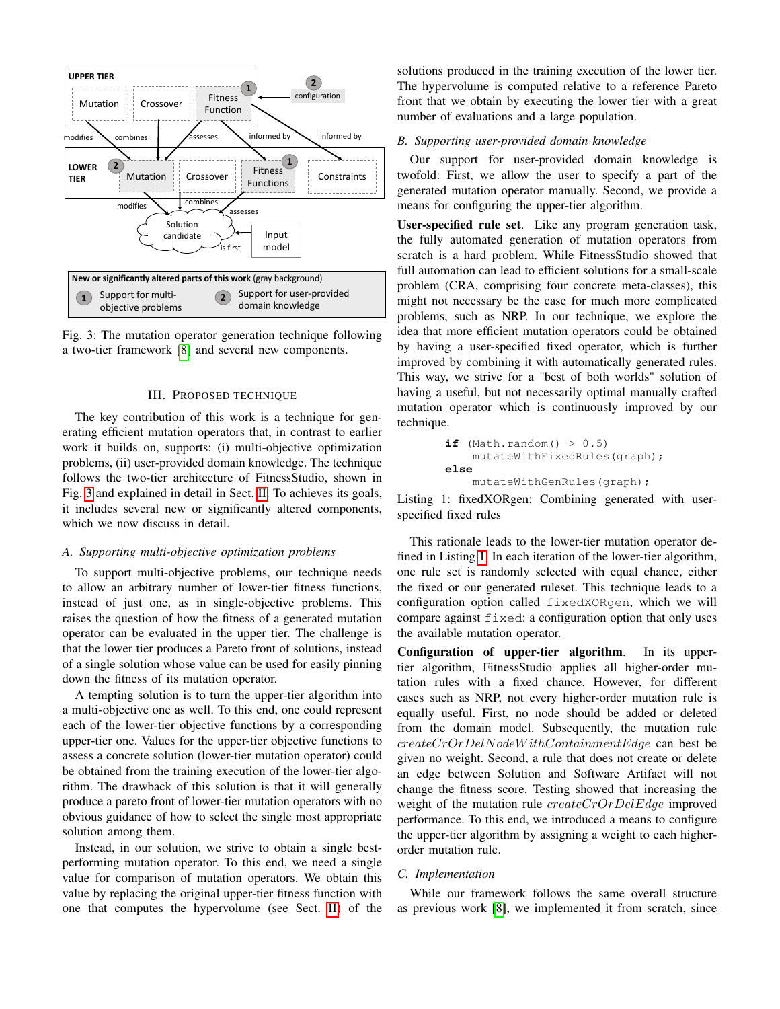<span id="page-3-0"></span>



#### III. PROPOSED TECHNIQUE

The key contribution of this work is a technique for generating efficient mutation operators that, in contrast to earlier work it builds on, supports: (i) multi-objective optimization problems, (ii) user-provided domain knowledge. The technique follows the two-tier architecture of FitnessStudio, shown in Fig. [3](#page-3-0) and explained in detail in Sect. [II.](#page-1-1) To achieves its goals, it includes several new or significantly altered components, which we now discuss in detail.

# *A. Supporting multi-objective optimization problems*

To support multi-objective problems, our technique needs to allow an arbitrary number of lower-tier fitness functions, instead of just one, as in single-objective problems. This raises the question of how the fitness of a generated mutation operator can be evaluated in the upper tier. The challenge is that the lower tier produces a Pareto front of solutions, instead of a single solution whose value can be used for easily pinning down the fitness of its mutation operator.

A tempting solution is to turn the upper-tier algorithm into a multi-objective one as well. To this end, one could represent each of the lower-tier objective functions by a corresponding upper-tier one. Values for the upper-tier objective functions to assess a concrete solution (lower-tier mutation operator) could be obtained from the training execution of the lower-tier algorithm. The drawback of this solution is that it will generally produce a pareto front of lower-tier mutation operators with no obvious guidance of how to select the single most appropriate solution among them.

Instead, in our solution, we strive to obtain a single bestperforming mutation operator. To this end, we need a single value for comparison of mutation operators. We obtain this value by replacing the original upper-tier fitness function with one that computes the hypervolume (see Sect. [II\)](#page-1-1) of the solutions produced in the training execution of the lower tier. The hypervolume is computed relative to a reference Pareto front that we obtain by executing the lower tier with a great number of evaluations and a large population.

# *B. Supporting user-provided domain knowledge*

Our support for user-provided domain knowledge is twofold: First, we allow the user to specify a part of the generated mutation operator manually. Second, we provide a means for configuring the upper-tier algorithm.

User-specified rule set. Like any program generation task, the fully automated generation of mutation operators from scratch is a hard problem. While FitnessStudio showed that full automation can lead to efficient solutions for a small-scale problem (CRA, comprising four concrete meta-classes), this might not necessary be the case for much more complicated problems, such as NRP. In our technique, we explore the idea that more efficient mutation operators could be obtained by having a user-specified fixed operator, which is further improved by combining it with automatically generated rules. This way, we strive for a "best of both worlds" solution of having a useful, but not necessarily optimal manually crafted mutation operator which is continuously improved by our technique.

```
if (Math.random() > 0.5)mutateWithFixedRules(graph);
else
    mutateWithGenRules(graph);
```
<span id="page-3-2"></span>Listing 1: fixedXORgen: Combining generated with userspecified fixed rules

This rationale leads to the lower-tier mutation operator defined in Listing [1.](#page-3-1) In each iteration of the lower-tier algorithm, one rule set is randomly selected with equal chance, either the fixed or our generated ruleset. This technique leads to a configuration option called fixedXORgen, which we will compare against fixed: a configuration option that only uses the available mutation operator.

Configuration of upper-tier algorithm. In its uppertier algorithm, FitnessStudio applies all higher-order mutation rules with a fixed chance. However, for different cases such as NRP, not every higher-order mutation rule is equally useful. First, no node should be added or deleted from the domain model. Subsequently, the mutation rule createCrOrDelNodeW ithContainmentEdge can best be given no weight. Second, a rule that does not create or delete an edge between Solution and Software Artifact will not change the fitness score. Testing showed that increasing the weight of the mutation rule *createCrOrDelEdge* improved performance. To this end, we introduced a means to configure the upper-tier algorithm by assigning a weight to each higherorder mutation rule.

## *C. Implementation*

While our framework follows the same overall structure as previous work [\[8\]](#page-7-7), we implemented it from scratch, since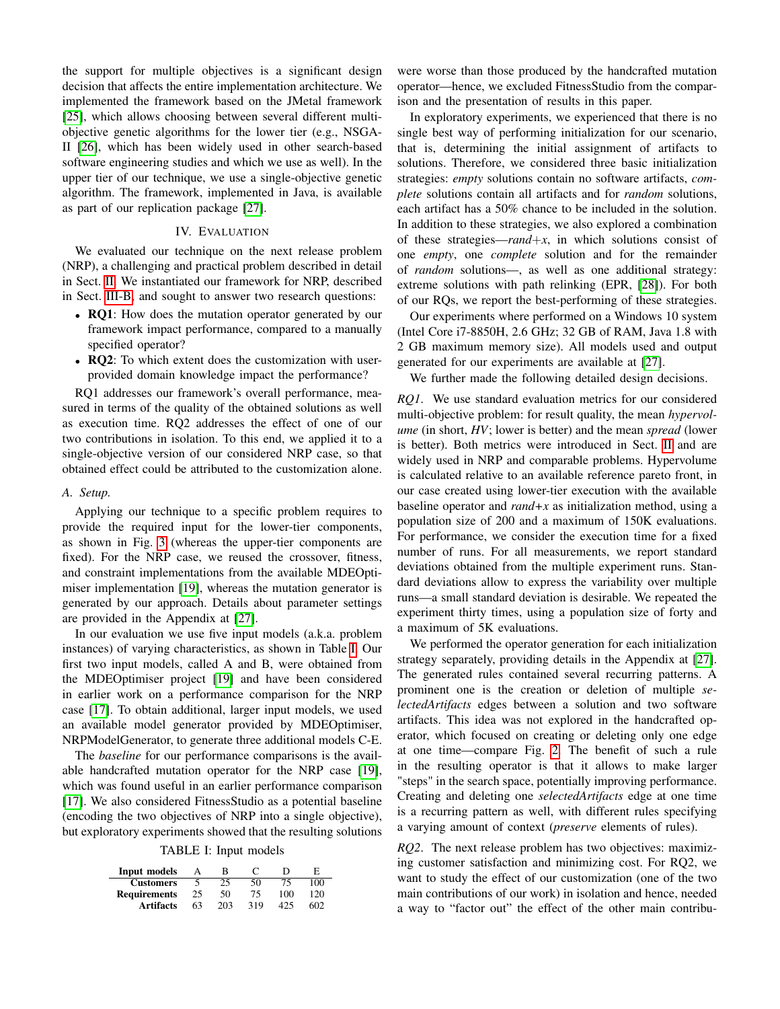the support for multiple objectives is a significant design decision that affects the entire implementation architecture. We implemented the framework based on the JMetal framework [\[25\]](#page-7-24), which allows choosing between several different multiobjective genetic algorithms for the lower tier (e.g., NSGA-II [\[26\]](#page-7-25), which has been widely used in other search-based software engineering studies and which we use as well). In the upper tier of our technique, we use a single-objective genetic algorithm. The framework, implemented in Java, is available as part of our replication package [\[27\]](#page-7-26).

# IV. EVALUATION

We evaluated our technique on the next release problem (NRP), a challenging and practical problem described in detail in Sect. [II.](#page-1-1) We instantiated our framework for NRP, described in Sect. [III-B,](#page-3-2) and sought to answer two research questions:

- RQ1: How does the mutation operator generated by our framework impact performance, compared to a manually specified operator?
- RQ2: To which extent does the customization with userprovided domain knowledge impact the performance?

RQ1 addresses our framework's overall performance, measured in terms of the quality of the obtained solutions as well as execution time. RQ2 addresses the effect of one of our two contributions in isolation. To this end, we applied it to a single-objective version of our considered NRP case, so that obtained effect could be attributed to the customization alone.

#### *A. Setup.*

Applying our technique to a specific problem requires to provide the required input for the lower-tier components, as shown in Fig. [3](#page-3-0) (whereas the upper-tier components are fixed). For the NRP case, we reused the crossover, fitness, and constraint implementations from the available MDEOptimiser implementation [\[19\]](#page-7-18), whereas the mutation generator is generated by our approach. Details about parameter settings are provided in the Appendix at [\[27\]](#page-7-26).

In our evaluation we use five input models (a.k.a. problem instances) of varying characteristics, as shown in Table [I.](#page-4-0) Our first two input models, called A and B, were obtained from the MDEOptimiser project [\[19\]](#page-7-18) and have been considered in earlier work on a performance comparison for the NRP case [\[17\]](#page-7-16). To obtain additional, larger input models, we used an available model generator provided by MDEOptimiser, NRPModelGenerator, to generate three additional models C-E.

The *baseline* for our performance comparisons is the available handcrafted mutation operator for the NRP case [\[19\]](#page-7-18), which was found useful in an earlier performance comparison [\[17\]](#page-7-16). We also considered FitnessStudio as a potential baseline (encoding the two objectives of NRP into a single objective), but exploratory experiments showed that the resulting solutions

TABLE I: Input models

<span id="page-4-0"></span>

| Input models        | А  | в   | $\mathbf{C}$ | ו ו |     |
|---------------------|----|-----|--------------|-----|-----|
| <b>Customers</b>    |    | 25  | 50           | 75  | 100 |
| <b>Requirements</b> | 25 | 50  | 75           | 100 | 120 |
| <b>Artifacts</b>    | 63 | 203 | 319          | 425 | 602 |

were worse than those produced by the handcrafted mutation operator—hence, we excluded FitnessStudio from the comparison and the presentation of results in this paper.

In exploratory experiments, we experienced that there is no single best way of performing initialization for our scenario, that is, determining the initial assignment of artifacts to solutions. Therefore, we considered three basic initialization strategies: *empty* solutions contain no software artifacts, *complete* solutions contain all artifacts and for *random* solutions, each artifact has a 50% chance to be included in the solution. In addition to these strategies, we also explored a combination of these strategies—*rand*+*x*, in which solutions consist of one *empty*, one *complete* solution and for the remainder of *random* solutions—, as well as one additional strategy: extreme solutions with path relinking (EPR, [\[28\]](#page-7-27)). For both of our RQs, we report the best-performing of these strategies.

Our experiments where performed on a Windows 10 system (Intel Core i7-8850H, 2.6 GHz; 32 GB of RAM, Java 1.8 with 2 GB maximum memory size). All models used and output generated for our experiments are available at [\[27\]](#page-7-26).

We further made the following detailed design decisions.

*RQ1*. We use standard evaluation metrics for our considered multi-objective problem: for result quality, the mean *hypervolume* (in short, *HV*; lower is better) and the mean *spread* (lower is better). Both metrics were introduced in Sect. [II](#page-1-1) and are widely used in NRP and comparable problems. Hypervolume is calculated relative to an available reference pareto front, in our case created using lower-tier execution with the available baseline operator and *rand+x* as initialization method, using a population size of 200 and a maximum of 150K evaluations. For performance, we consider the execution time for a fixed number of runs. For all measurements, we report standard deviations obtained from the multiple experiment runs. Standard deviations allow to express the variability over multiple runs—a small standard deviation is desirable. We repeated the experiment thirty times, using a population size of forty and a maximum of 5K evaluations.

We performed the operator generation for each initialization strategy separately, providing details in the Appendix at [\[27\]](#page-7-26). The generated rules contained several recurring patterns. A prominent one is the creation or deletion of multiple *selectedArtifacts* edges between a solution and two software artifacts. This idea was not explored in the handcrafted operator, which focused on creating or deleting only one edge at one time—compare Fig. [2.](#page-2-0) The benefit of such a rule in the resulting operator is that it allows to make larger "steps" in the search space, potentially improving performance. Creating and deleting one *selectedArtifacts* edge at one time is a recurring pattern as well, with different rules specifying a varying amount of context (*preserve* elements of rules).

*RQ2*. The next release problem has two objectives: maximizing customer satisfaction and minimizing cost. For RQ2, we want to study the effect of our customization (one of the two main contributions of our work) in isolation and hence, needed a way to "factor out" the effect of the other main contribu-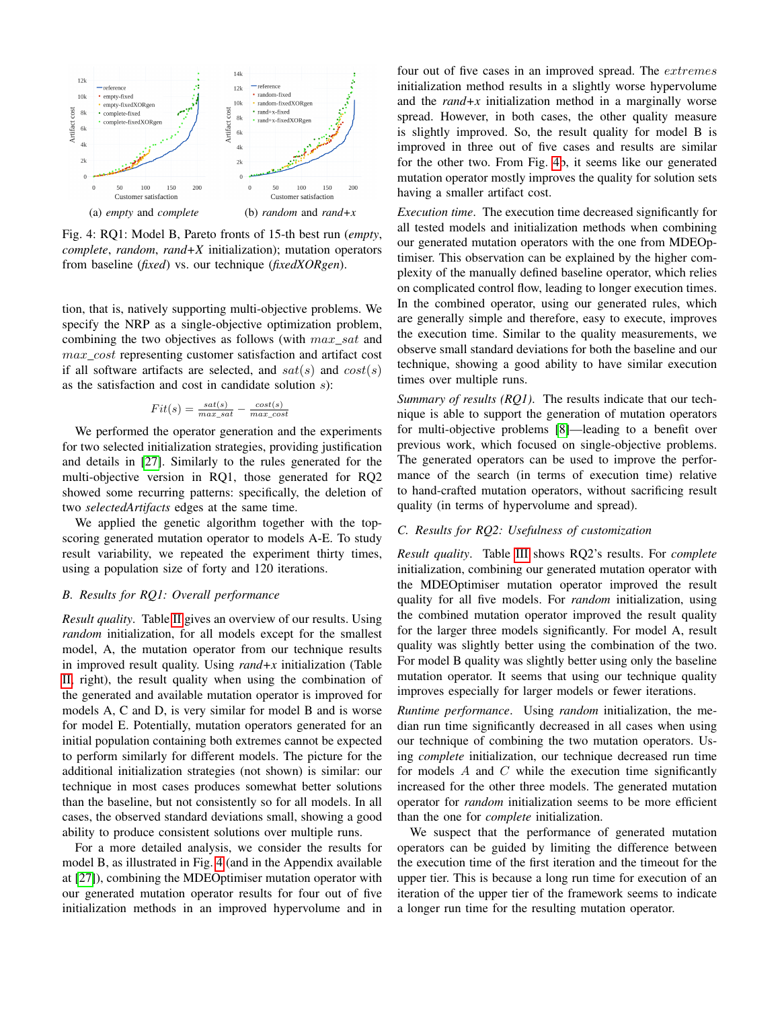<span id="page-5-0"></span>

Fig. 4: RQ1: Model B, Pareto fronts of 15-th best run (*empty*, *complete*, *random*, *rand+X* initialization); mutation operators from baseline (*fixed*) vs. our technique (*fixedXORgen*).

tion, that is, natively supporting multi-objective problems. We specify the NRP as a single-objective optimization problem, combining the two objectives as follows (with  $max\_sat$  and max\_cost representing customer satisfaction and artifact cost if all software artifacts are selected, and  $sat(s)$  and  $cost(s)$ as the satisfaction and cost in candidate solution  $s$ ):

$$
Fit(s) = \frac{sat(s)}{max\_sat} - \frac{cost(s)}{max\_cost}
$$

We performed the operator generation and the experiments for two selected initialization strategies, providing justification and details in [\[27\]](#page-7-26). Similarly to the rules generated for the multi-objective version in RQ1, those generated for RQ2 showed some recurring patterns: specifically, the deletion of two *selectedArtifacts* edges at the same time.

We applied the genetic algorithm together with the topscoring generated mutation operator to models A-E. To study result variability, we repeated the experiment thirty times, using a population size of forty and 120 iterations.

# *B. Results for RQ1: Overall performance*

*Result quality*. Table [II](#page-6-0) gives an overview of our results. Using *random* initialization, for all models except for the smallest model, A, the mutation operator from our technique results in improved result quality. Using *rand+x* initialization (Table [II,](#page-6-0) right), the result quality when using the combination of the generated and available mutation operator is improved for models A, C and D, is very similar for model B and is worse for model E. Potentially, mutation operators generated for an initial population containing both extremes cannot be expected to perform similarly for different models. The picture for the additional initialization strategies (not shown) is similar: our technique in most cases produces somewhat better solutions than the baseline, but not consistently so for all models. In all cases, the observed standard deviations small, showing a good ability to produce consistent solutions over multiple runs.

For a more detailed analysis, we consider the results for model B, as illustrated in Fig. [4](#page-5-0) (and in the Appendix available at [\[27\]](#page-7-26)), combining the MDEOptimiser mutation operator with our generated mutation operator results for four out of five initialization methods in an improved hypervolume and in

four out of five cases in an improved spread. The extremes initialization method results in a slightly worse hypervolume and the *rand+x* initialization method in a marginally worse spread. However, in both cases, the other quality measure is slightly improved. So, the result quality for model B is improved in three out of five cases and results are similar for the other two. From Fig. [4b](#page-5-0), it seems like our generated mutation operator mostly improves the quality for solution sets having a smaller artifact cost.

*Execution time*. The execution time decreased significantly for all tested models and initialization methods when combining our generated mutation operators with the one from MDEOptimiser. This observation can be explained by the higher complexity of the manually defined baseline operator, which relies on complicated control flow, leading to longer execution times. In the combined operator, using our generated rules, which are generally simple and therefore, easy to execute, improves the execution time. Similar to the quality measurements, we observe small standard deviations for both the baseline and our technique, showing a good ability to have similar execution times over multiple runs.

*Summary of results (RQ1)*. The results indicate that our technique is able to support the generation of mutation operators for multi-objective problems [\[8\]](#page-7-7)—leading to a benefit over previous work, which focused on single-objective problems. The generated operators can be used to improve the performance of the search (in terms of execution time) relative to hand-crafted mutation operators, without sacrificing result quality (in terms of hypervolume and spread).

#### *C. Results for RQ2: Usefulness of customization*

*Result quality*. Table [III](#page-6-1) shows RQ2's results. For *complete* initialization, combining our generated mutation operator with the MDEOptimiser mutation operator improved the result quality for all five models. For *random* initialization, using the combined mutation operator improved the result quality for the larger three models significantly. For model A, result quality was slightly better using the combination of the two. For model B quality was slightly better using only the baseline mutation operator. It seems that using our technique quality improves especially for larger models or fewer iterations.

*Runtime performance*. Using *random* initialization, the median run time significantly decreased in all cases when using our technique of combining the two mutation operators. Using *complete* initialization, our technique decreased run time for models  $A$  and  $C$  while the execution time significantly increased for the other three models. The generated mutation operator for *random* initialization seems to be more efficient than the one for *complete* initialization.

We suspect that the performance of generated mutation operators can be guided by limiting the difference between the execution time of the first iteration and the timeout for the upper tier. This is because a long run time for execution of an iteration of the upper tier of the framework seems to indicate a longer run time for the resulting mutation operator.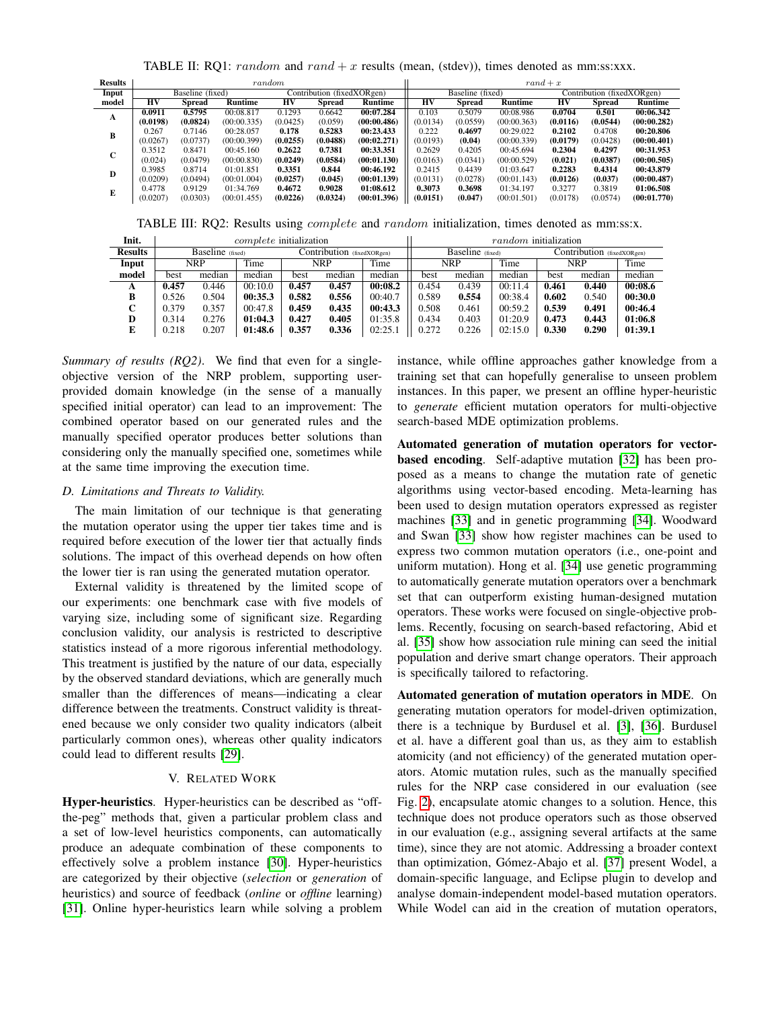TABLE II: RQ1: random and rand  $+ x$  results (mean, (stdev)), times denoted as mm:ss:xxx.

<span id="page-6-0"></span>

| <b>Results</b> | random           |          |             |                            |          |             | $rand + x$       |               |             |                            |               |             |  |
|----------------|------------------|----------|-------------|----------------------------|----------|-------------|------------------|---------------|-------------|----------------------------|---------------|-------------|--|
| Input          | Baseline (fixed) |          |             | Contribution (fixedXORgen) |          |             | Baseline (fixed) |               |             | Contribution (fixedXORgen) |               |             |  |
| model          | НV               | Spread   | Runtime     | HV                         | Spread   | Runtime     | $H\overline{V}$  | <b>Spread</b> | Runtime     | HV                         | <b>Spread</b> | Runtime     |  |
| A              | 0.0911           | 0.5795   | 00:08.817   | 0.1293                     | 0.6642   | 00:07.284   | 0.103            | 0.5079        | 00:08.986   | 0.0704                     | 0.501         | 00:06.342   |  |
|                | (0.0198)         | (0.0824) | (00:00.335) | (0.0425)                   | (0.059)  | (00:00.486) | (0.0134)         | (0.0559)      | (00:00.363) | (0.0116)                   | (0.0544)      | (00:00.282) |  |
| B              | 0.267            | 0.7146   | 00:28.057   | 0.178                      | 0.5283   | 00:23.433   | 0.222            | 0.4697        | 00:29.022   | 0.2102                     | 0.4708        | 00:20.806   |  |
|                | (0.0267)         | (0.0737) | (00:00.399) | (0.0255)                   | (0.0488) | (00:02.271) | (0.0193)         | (0.04)        | (00:00.339) | (0.0179)                   | (0.0428)      | (00:00.401) |  |
| $\sim$<br>U    | 0.3512           | 0.8471   | 00:45.160   | 0.2622                     | 0.7381   | 00:33.351   | 0.2629           | 0.4205        | 00:45.694   | 0.2304                     | 0.4297        | 00:31.953   |  |
|                | (0.024)          | (0.0479) | (00:00.830) | (0.0249)                   | (0.0584) | (00:01.130) | (0.0163)         | (0.0341)      | (00:00.529) | (0.021)                    | (0.0387)      | (00:00.505) |  |
| D              | 0.3985           | 0.8714   | 01:01.851   | 0.3351                     | 0.844    | 00:46.192   | 0.2415           | 0.4439        | 01:03.647   | 0.2283                     | 0.4314        | 00:43.879   |  |
|                | (0.0209)         | (0.0494) | (00:01.004) | (0.0257)                   | (0.045)  | (00:01.139) | (0.0131)         | (0.0278)      | (00:01.143) | (0.0126)                   | (0.037)       | (00:00.487) |  |
| Е              | 0.4778           | 0.9129   | 01:34.769   | 0.4672                     | 0.9028   | 01:08.612   | 0.3073           | 0.3698        | 01:34.197   | 0.3277                     | 0.3819        | 01:06.508   |  |
|                | (0.0207)         | (0.0303) | (00:01.455) | (0.0226)                   | (0.0324) | (00:01.396) | (0.0151)         | (0.047)       | (00:01.501) | (0.0178)                   | (0.0574)      | (00:01.770) |  |
|                |                  |          |             |                            |          |             |                  |               |             |                            |               |             |  |

TABLE III: RQ2: Results using *complete* and *random* initialization, times denoted as mm:ss:x.

<span id="page-6-1"></span>

| Init.          | <i>complete</i> initialization |        |                            |       |        |                  |            | random initialization |                            |       |        |         |  |  |
|----------------|--------------------------------|--------|----------------------------|-------|--------|------------------|------------|-----------------------|----------------------------|-------|--------|---------|--|--|
| <b>Results</b> | Baseline (fixed)               |        | Contribution (fixedXORgen) |       |        | Baseline (fixed) |            |                       | Contribution (fixedXORgen) |       |        |         |  |  |
| Input          | NRP                            |        | Time                       | NRP   |        | Time             | <b>NRP</b> |                       | Time                       | NRP   |        | Time    |  |  |
| model          | best                           | median | median                     | best  | median | median           | best       | median                | median                     | best  | median | median  |  |  |
| A              | 0.457                          | 0.446  | 00:10.0                    | 0.457 | 0.457  | 00:08.2          | 0.454      | 0.439                 | 00:11.4                    | 0.461 | 0.440  | 00:08.6 |  |  |
| в              | 0.526                          | 0.504  | 00:35.3                    | 0.582 | 0.556  | 00:40.7          | 0.589      | 0.554                 | 00:38.4                    | 0.602 | 0.540  | 00:30.0 |  |  |
| C              | 0.379                          | 0.357  | 00:47.8                    | 0.459 | 0.435  | 00:43.3          | 0.508      | 0.461                 | 00:59.2                    | 0.539 | 0.491  | 00:46.4 |  |  |
| D              | 0.314                          | 0.276  | 01:04.3                    | 0.427 | 0.405  | 01:35.8          | 0.434      | 0.403                 | 01:20.9                    | 0.473 | 0.443  | 01:06.8 |  |  |
| E              | 0.218                          | 0.207  | 01:48.6                    | 0.357 | 0.336  | 02:25.1          | 0.272      | 0.226                 | 02:15.0                    | 0.330 | 0.290  | 01:39.1 |  |  |

*Summary of results (RQ2)*. We find that even for a singleobjective version of the NRP problem, supporting userprovided domain knowledge (in the sense of a manually specified initial operator) can lead to an improvement: The combined operator based on our generated rules and the manually specified operator produces better solutions than considering only the manually specified one, sometimes while at the same time improving the execution time.

# *D. Limitations and Threats to Validity.*

The main limitation of our technique is that generating the mutation operator using the upper tier takes time and is required before execution of the lower tier that actually finds solutions. The impact of this overhead depends on how often the lower tier is ran using the generated mutation operator.

External validity is threatened by the limited scope of our experiments: one benchmark case with five models of varying size, including some of significant size. Regarding conclusion validity, our analysis is restricted to descriptive statistics instead of a more rigorous inferential methodology. This treatment is justified by the nature of our data, especially by the observed standard deviations, which are generally much smaller than the differences of means—indicating a clear difference between the treatments. Construct validity is threatened because we only consider two quality indicators (albeit particularly common ones), whereas other quality indicators could lead to different results [\[29\]](#page-7-28).

# V. RELATED WORK

Hyper-heuristics. Hyper-heuristics can be described as "offthe-peg" methods that, given a particular problem class and a set of low-level heuristics components, can automatically produce an adequate combination of these components to effectively solve a problem instance [\[30\]](#page-7-29). Hyper-heuristics are categorized by their objective (*selection* or *generation* of heuristics) and source of feedback (*online* or *offline* learning) [\[31\]](#page-7-30). Online hyper-heuristics learn while solving a problem instance, while offline approaches gather knowledge from a training set that can hopefully generalise to unseen problem instances. In this paper, we present an offline hyper-heuristic to *generate* efficient mutation operators for multi-objective search-based MDE optimization problems.

Automated generation of mutation operators for vectorbased encoding. Self-adaptive mutation [\[32\]](#page-7-31) has been proposed as a means to change the mutation rate of genetic algorithms using vector-based encoding. Meta-learning has been used to design mutation operators expressed as register machines [\[33\]](#page-7-32) and in genetic programming [\[34\]](#page-7-33). Woodward and Swan [\[33\]](#page-7-32) show how register machines can be used to express two common mutation operators (i.e., one-point and uniform mutation). Hong et al. [\[34\]](#page-7-33) use genetic programming to automatically generate mutation operators over a benchmark set that can outperform existing human-designed mutation operators. These works were focused on single-objective problems. Recently, focusing on search-based refactoring, Abid et al. [\[35\]](#page-7-34) show how association rule mining can seed the initial population and derive smart change operators. Their approach is specifically tailored to refactoring.

Automated generation of mutation operators in MDE. On generating mutation operators for model-driven optimization, there is a technique by Burdusel et al. [\[3\]](#page-7-2), [\[36\]](#page-7-35). Burdusel et al. have a different goal than us, as they aim to establish atomicity (and not efficiency) of the generated mutation operators. Atomic mutation rules, such as the manually specified rules for the NRP case considered in our evaluation (see Fig. [2\)](#page-2-0), encapsulate atomic changes to a solution. Hence, this technique does not produce operators such as those observed in our evaluation (e.g., assigning several artifacts at the same time), since they are not atomic. Addressing a broader context than optimization, Gómez-Abajo et al. [\[37\]](#page-7-36) present Wodel, a domain-specific language, and Eclipse plugin to develop and analyse domain-independent model-based mutation operators. While Wodel can aid in the creation of mutation operators,